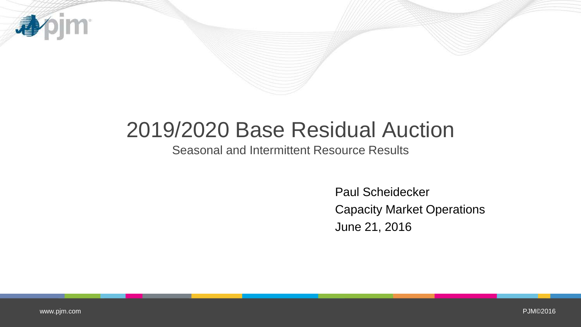

## 2019/2020 Base Residual Auction

Seasonal and Intermittent Resource Results

Paul Scheidecker Capacity Market Operations June 21, 2016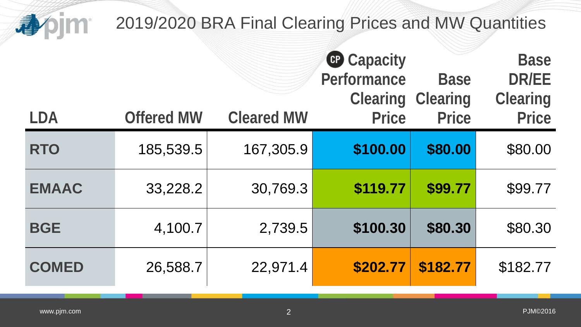| 心            | 2019/2020 BRA Final Clearing Prices and MW Quantities |                   |                                                                     |                                                |                                                                |  |  |
|--------------|-------------------------------------------------------|-------------------|---------------------------------------------------------------------|------------------------------------------------|----------------------------------------------------------------|--|--|
| <b>LDA</b>   | <b>Offered MW</b>                                     | <b>Cleared MW</b> | <b>C</b> Capacity<br>Performance<br><b>Clearing</b><br><b>Price</b> | <b>Base</b><br><b>Clearing</b><br><b>Price</b> | <b>Base</b><br><b>DR/EE</b><br><b>Clearing</b><br><b>Price</b> |  |  |
| <b>RTO</b>   | 185,539.5                                             | 167,305.9         | \$100.00                                                            | \$80.00                                        | \$80.00                                                        |  |  |
| <b>EMAAC</b> | 33,228.2                                              | 30,769.3          | \$119.77                                                            | \$99.77                                        | \$99.77                                                        |  |  |
| <b>BGE</b>   | 4,100.7                                               | 2,739.5           | \$100.30                                                            | \$80.30                                        | \$80.30                                                        |  |  |
| <b>COMED</b> | 26,588.7                                              | 22,971.4          | \$202.77                                                            | \$182.77                                       | \$182.77                                                       |  |  |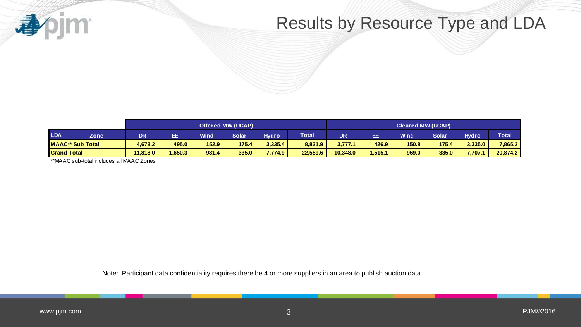

## Results by Resource Type and LDA

|                         |      | <b>Offered MW (UCAP)</b> |        |             |       | <b>Cleared MW (UCAP)</b> |              |          |         |       |       |              |              |
|-------------------------|------|--------------------------|--------|-------------|-------|--------------------------|--------------|----------|---------|-------|-------|--------------|--------------|
| <b>LDA</b>              | Zone | <b>DR</b>                | EE.    | <b>Wind</b> | Solar | <b>Hydro</b>             | <b>Total</b> | DR       | EE      | Wind  | Solar | <b>Hydro</b> | <b>Total</b> |
| <b>MAAC** Sub Total</b> |      | 4.673.2                  | 495.0  | 152.9       | 175.4 | 3.335.4                  | 8,831.9      | 3,777.1  | 426.9   | 150.8 | 175.4 | 3.335.0      | 7,865.2      |
| <b>Grand Total</b>      |      | 11.818.0                 | .650.3 | 981.4       | 335.0 | 7,774.9                  | 22,559.6     | 10,348.0 | 1,515.1 | 969.0 | 335.0 | 7,707.1      | 20,874.2     |

\*\*MAAC sub-total includes all MAAC Zones

Note: Participant data confidentiality requires there be 4 or more suppliers in an area to publish auction data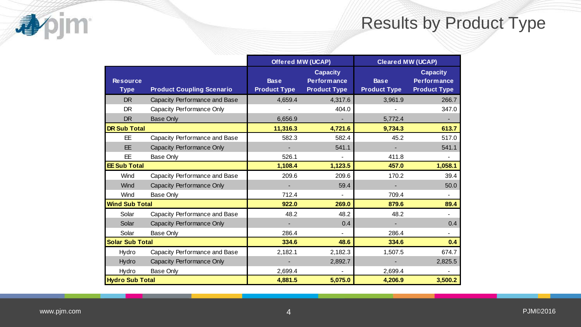## Results by Product Type

|                                |                                  | <b>Offered MW (UCAP)</b>           |                                                              | <b>Cleared MW (UCAP)</b>           |                                                              |  |  |
|--------------------------------|----------------------------------|------------------------------------|--------------------------------------------------------------|------------------------------------|--------------------------------------------------------------|--|--|
| <b>Resource</b><br><b>Type</b> | <b>Product Coupling Scenario</b> | <b>Base</b><br><b>Product Type</b> | <b>Capacity</b><br><b>Performance</b><br><b>Product Type</b> | <b>Base</b><br><b>Product Type</b> | <b>Capacity</b><br><b>Performance</b><br><b>Product Type</b> |  |  |
| <b>DR</b>                      | Capacity Performance and Base    | 4,659.4                            | 4,317.6                                                      | 3,961.9                            | 266.7                                                        |  |  |
| <b>DR</b>                      | Capacity Performance Only        |                                    | 404.0                                                        |                                    | 347.0                                                        |  |  |
| <b>DR</b>                      | <b>Base Only</b>                 | 6,656.9                            |                                                              | 5,772.4                            |                                                              |  |  |
| <b>DR Sub Total</b>            |                                  | 11,316.3                           | 4,721.6                                                      | 9,734.3                            | 613.7                                                        |  |  |
| EE.                            | Capacity Performance and Base    | 582.3                              | 582.4                                                        | 45.2                               | 517.0                                                        |  |  |
| EE                             | Capacity Performance Only        |                                    | 541.1                                                        | $\blacksquare$                     | 541.1                                                        |  |  |
| EE.                            | Base Only                        | 526.1                              | $\blacksquare$                                               | 411.8                              | ٠                                                            |  |  |
| <b>EE Sub Total</b>            |                                  | 1,108.4                            | 1,123.5                                                      | 457.0                              | 1,058.1                                                      |  |  |
| Wind                           | Capacity Performance and Base    | 209.6                              | 209.6                                                        | 170.2                              | 39.4                                                         |  |  |
| Wind                           | Capacity Performance Only        |                                    | 59.4                                                         |                                    | 50.0                                                         |  |  |
| Wind                           | Base Only                        | 712.4                              |                                                              | 709.4                              | $\blacksquare$                                               |  |  |
| <b>Wind Sub Total</b>          |                                  | 922.0                              | 269.0                                                        | 879.6                              | 89.4                                                         |  |  |
| Solar                          | Capacity Performance and Base    | 48.2                               | 48.2                                                         | 48.2                               |                                                              |  |  |
| Solar                          | Capacity Performance Only        |                                    | 0.4                                                          |                                    | 0.4                                                          |  |  |
| Solar                          | Base Only                        | 286.4                              |                                                              | 286.4                              | $\overline{\phantom{0}}$                                     |  |  |
| <b>Solar Sub Total</b>         |                                  | 334.6                              | 48.6                                                         | 334.6                              | 0.4                                                          |  |  |
| Hydro                          | Capacity Performance and Base    | 2,182.1                            | 2,182.3                                                      | 1,507.5                            | 674.7                                                        |  |  |
| Hydro                          | Capacity Performance Only        |                                    | 2,892.7                                                      |                                    | 2,825.5                                                      |  |  |
| Hydro                          | Base Only                        | 2,699.4                            | ÷.                                                           | 2,699.4                            |                                                              |  |  |
| <b>Hydro Sub Total</b>         |                                  | 4,881.5                            | 5,075.0                                                      | 4,206.9                            | 3,500.2                                                      |  |  |

**Apjm**